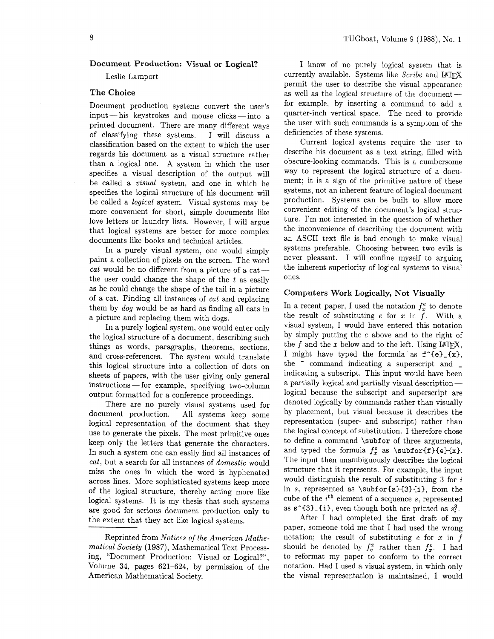# **Document Production: Visual or Logical?**

Leslie Lamport

## **The Choice**

Document production systems convert the user's input - his keystrokes and mouse clicks - into a printed document. There are many different ways of classifying these systems. I will discuss a classification based on the extent to which the user regards his document as a visual structure rather than a logical one. A system in which the user specifies a visual description of the output will be called a *visual* system, and one in which he specifies the logical structure of his document will be called a *logical* system. Visual systems may be more convenient for short, simple documents like love letters or laundry lists. However, I will argue that logical systems are better for more complex documents like books and technical articles.

In a purely visual system, one would simply paint a collection of pixels on the screen. The word  $cat$  would be no different from a picture of a cat -the user could change the shape of the *t* as easily as he could change the shape of the tail in a picture of a cat. Finding all instances of *cat* and replacing them by *dog* would be as hard as finding all cats in a picture and replacing them with dogs.

In a purely logical system, one would enter only the logical structure of a document, describing such things as words, paragraphs, theorems, sections, and cross-references. The system would translate this logical structure into a collection of dots on sheets of papers, with the user giving only general instructions - for example, specifying two-column output formatted for a conference proceedings.

There are no purely visual systems used for document production. All systems keep some logical representation of the document that they use to generate the pixels. The most primitive ones keep only the letters that generate the characters. In such a system one can easily find all instances of *cat,* but a search for all instances of *domestic* would miss the ones in which the word is hyphenated across lines. More sophisticated systems keep more of the logical structure, thereby acting more like logical systems. It is my thesis that such systems are good for serious document production only to the extent that they act like logical systems.

I know of no purely logical system that is currently available. Systems like *Scribe* and IAT<sub>F</sub>X permit the user to describe the visual appearance currently available. Systems like *Scribe* and  $L^2$   $L^2$ <br>permit the user to describe the visual appearance<br>as well as the logical structure of the document -for example, by inserting a command to add a quarter-inch vertical space. The need to provide the user with such commands is a symptom of the deficiencies of these systems.

Current logical systems require the user to describe his document as a text string, filled with obscure-looking commands. This is a cumbersome way to represent the logical structure of a document; it is a sign of the primitive nature of these systems, not an inherent feature of logical document production. Systems can be built to allow more convenient editing of the document's logical structure. I'm not interested in the question of whether the inconvenience of describing the document with an ASCII text file is bad enough to make visual systems preferable. Choosing between two evils is never pleasant. I will confine myself to arguing the inherent superiority of logical systems to visual ones.

# **Computers Work Logically, Not Visually**

In a recent paper, I used the notation  $f_x^e$  to denote the result of substituting  $e$  for  $x$  in  $f$ . With a visual system, I would have entered this notation by simply putting the *e* above and to the right of the  $f$  and the  $x$  below and to the left. Using IATFX, I might have typed the formula as  $f^{\uparrow}(e)$ <sub>-</sub> $\{x\}$ , the  $\hat{c}$  command indicating a superscript and  $\hat{c}$ indicating a subscript. This input would have been a partially logical and partially visual description logical because the subscript and superscript are denoted logically by commands rather than visually by placement, but visual because it describes the representation (super- and subscript) rather than the logical concept of substitution. I therefore chose to define a command \subfor of three arguments, and typed the formula  $f_x^e$  as  $\sub{bfor{f}{e}{x}.$ The input then unambiguously describes the logical structure that it represents. For example, the input would distinguish the result of substituting **3** for *i*  in s, represented as \subfor{s}{3}{i}, from the cube of the *ith* element of a sequence s, represented as  $s^1(3)$ -(i), even though both are printed as  $s^3$ .

After I had completed the first draft of my paper, someone told me that I had used the wrong notation; the result of substituting *e* for x in *f*  should be denoted by  $f_e^x$  rather than  $f_x^e$ . I had to reformat my paper to conform to the correct notation. Had I used a visual system, in which only the visual representation is maintained, I would

Reprinted from *Notices of the American Mathematical Society* (1987), Mathematical Text Processing, "Document Production: Visual or Logical?", Volume 34, pages 621-624, by permission of the American Mathematical Society.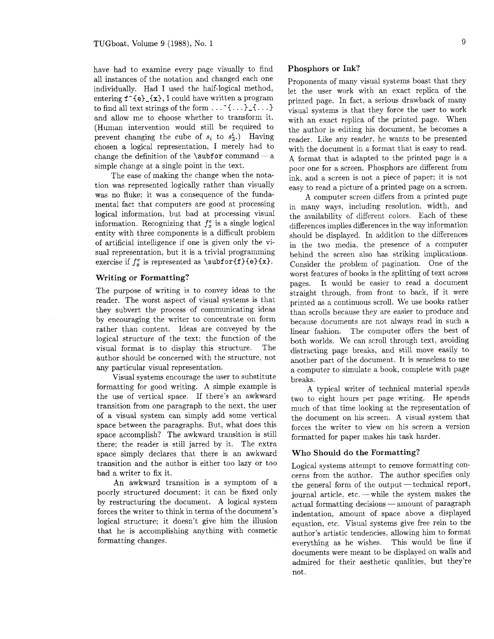have had to examine every page visually to find all instances of the notation and changed each one individually. Had I used the half-logical method, entering  $f^{\dagger}(e)$   $\{x\}$ , I could have written a program to find all text strings of the form  $\dots$   $\hat{f} \dots$   $\hat{f} \dots$ and allow me to choose whether to transform it. (Human intervention would still be required to prevent changing the cube of  $s_i$  to  $s_3$ .) Having chosen a logical representation, I merely had to prevent changing the cube of  $s_i$  to  $s_3$ .) Having<br>thosen a logical representation, I merely had to<br>thange the definition of the \subfor command - a simple change at a single point in the text.

The ease of making the change when the notation was represented logically rather than visually was no fluke; it was a consequence of the fundamental fact that computers are good at processing logical information, but bad at processing visual information. Recognizing that  $f_x^e$  is a single logical entity with three components is a difficult problem of artificial intelligence if one is given only the visual representation, but it is a trivial programming exercise if  $f_x^e$  is represented as \subfor{f}{e}{x}.

#### **Writing or Formatting?**

The purpose of writing is to convey ideas to the reader. The worst aspect of visual systems is that they subvert the process of communicating ideas by encouraging the writer to concentrate on form rather than content. Ideas are conveyed by the logical structure of the text; the function of the visual format is to display this structure. The author should be concerned with the structure, not any particular visual representation.

Visual systems encourage the user to substitute formatting for good writing. A simple example is the use of vertical space. If there's an awkward transition from one paragraph to the next. the user of a visual system can simply add some vertical space between the paragraphs. But, what does this space accomplish? The awkward transition is still there; the reader is still jarred by it. The extra space simply declares that there is an awkward transition and the author is either too lazy or too bad a writer to fix it.

An awkward transition is a symptom of a poorly structured document; it can be fixed only by restructuring the document. A logical system forces the writer to think in terms of the document's logical structure; it doesn't give him the illusion that he is accomplishing anything with cosmetic formatting changes.

#### **Phosphors or Ink?**

Proponents of many visual systems boast that they let the user work with an exact replica of the printed page. In fact, a serious drawback of many visual systems is that they force the user to work with an exact replica of the printed page. When the author is editing his document, he becomes a reader. Like any reader, he wants to be presented with the document in a format that is easy to read. A format that is adapted to the printed page is a poor one for a screen. Phosphors are different from ink, and a screen is not a piece of paper; it is not easy to read a picture of a printed page on a screen.

A computer screen differs from a printed page in many ways, including resolution, width, and the availability of different colors. Each of these differences implies differences in the way information should be displayed. In addition to the differences in the two media. the presence of a computer behind the screen also has striking implications. Consider the problem of pagination. One of the worst features of books is the splitting of text across pages. It would be easier to read a document straight through. from front to back, if it were printed as a continuous scroll. We use books rather than scrolls because they are easier to produce and because documents are not always read in such a linear fashion. The computer offers the best of both worlds. We can scroll through text, avoiding distracting page breaks, and still move easily to another part of the document. It is senseless to use a computer to simulate a book, complete with page breaks.

A typical writer of technical material spends two to eight hours per page writing. He spends much of that time looking at the representation of the document on his screen. A visual system that forces the writer to view on his screen a version formatted for paper makes his task harder.

## **Who Should do the Formatting?**

Logical systems attempt to remove formatting concerns from the author. The author specifies only the general form of the output -technical report,  $j$  iournal article, etc. — while the system makes the actual formatting decisions — amount of paragraph indentation, amount of space above a displayed equation, etc. Visual systems give free rein to the author's artistic tendencies, allowing him to format everything as he wishes. This would be fine if documents were meant to be displayed on walls and admired for their aesthetic qualities, but they're not.